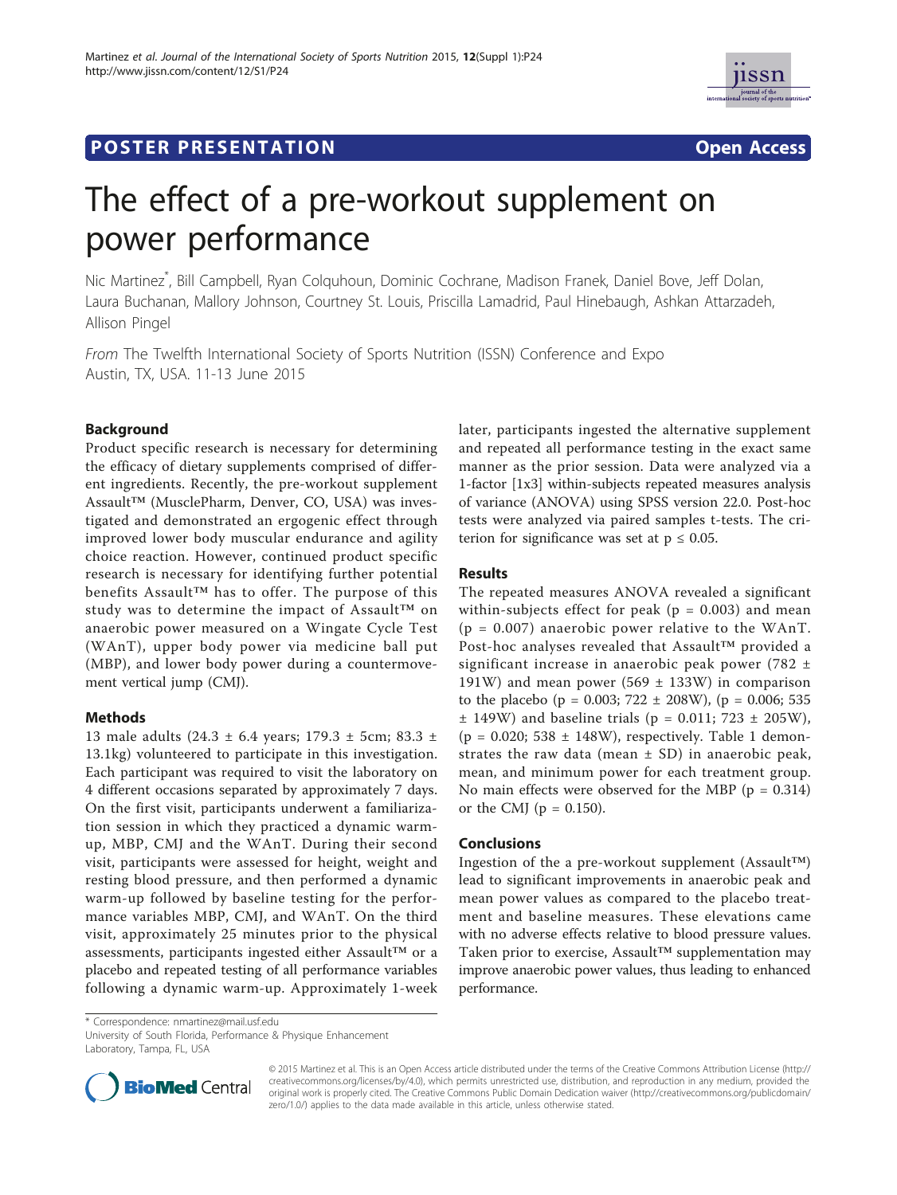

# **POSTER PRESENTATION CONSUMING THE SERVICE SERVICE SERVICE SERVICES**



# The effect of a pre-workout supplement on power performance

Nic Martinez\* , Bill Campbell, Ryan Colquhoun, Dominic Cochrane, Madison Franek, Daniel Bove, Jeff Dolan, Laura Buchanan, Mallory Johnson, Courtney St. Louis, Priscilla Lamadrid, Paul Hinebaugh, Ashkan Attarzadeh, Allison Pingel

From The Twelfth International Society of Sports Nutrition (ISSN) Conference and Expo Austin, TX, USA. 11-13 June 2015

#### **Background**

Product specific research is necessary for determining the efficacy of dietary supplements comprised of different ingredients. Recently, the pre-workout supplement Assault™ (MusclePharm, Denver, CO, USA) was investigated and demonstrated an ergogenic effect through improved lower body muscular endurance and agility choice reaction. However, continued product specific research is necessary for identifying further potential benefits Assault™ has to offer. The purpose of this study was to determine the impact of Assault™ on anaerobic power measured on a Wingate Cycle Test (WAnT), upper body power via medicine ball put (MBP), and lower body power during a countermovement vertical jump (CMJ).

### Methods

13 male adults (24.3 ± 6.4 years; 179.3 ± 5cm; 83.3 ± 13.1kg) volunteered to participate in this investigation. Each participant was required to visit the laboratory on 4 different occasions separated by approximately 7 days. On the first visit, participants underwent a familiarization session in which they practiced a dynamic warmup, MBP, CMJ and the WAnT. During their second visit, participants were assessed for height, weight and resting blood pressure, and then performed a dynamic warm-up followed by baseline testing for the performance variables MBP, CMJ, and WAnT. On the third visit, approximately 25 minutes prior to the physical assessments, participants ingested either Assault™ or a placebo and repeated testing of all performance variables following a dynamic warm-up. Approximately 1-week

later, participants ingested the alternative supplement and repeated all performance testing in the exact same manner as the prior session. Data were analyzed via a 1-factor [1x3] within-subjects repeated measures analysis of variance (ANOVA) using SPSS version 22.0. Post-hoc tests were analyzed via paired samples t-tests. The criterion for significance was set at  $p \leq 0.05$ .

#### Results

The repeated measures ANOVA revealed a significant within-subjects effect for peak ( $p = 0.003$ ) and mean  $(p = 0.007)$  anaerobic power relative to the WAnT. Post-hoc analyses revealed that Assault™ provided a significant increase in anaerobic peak power (782 ± 191W) and mean power (569  $\pm$  133W) in comparison to the placebo (p = 0.003;  $722 \pm 208$ W), (p = 0.006; 535  $\pm$  149W) and baseline trials (p = 0.011; 723  $\pm$  205W), (p = 0.020; 538  $\pm$  148W), respectively. Table 1 demonstrates the raw data (mean  $\pm$  SD) in anaerobic peak, mean, and minimum power for each treatment group. No main effects were observed for the MBP ( $p = 0.314$ ) or the CMJ ( $p = 0.150$ ).

#### **Conclusions**

Ingestion of the a pre-workout supplement (Assault™) lead to significant improvements in anaerobic peak and mean power values as compared to the placebo treatment and baseline measures. These elevations came with no adverse effects relative to blood pressure values. Taken prior to exercise, Assault™ supplementation may improve anaerobic power values, thus leading to enhanced performance.

\* Correspondence: nmartinez@mail.usf.edu

University of South Florida, Performance & Physique Enhancement Laboratory, Tampa, FL, USA



© 2015 Martinez et al. This is an Open Access article distributed under the terms of the Creative Commons Attribution License (http:// creativecommons.org/licenses/by/4.0), which permits unrestricted use, distribution, and reproduction in any medium, provided the original work is properly cited. The Creative Commons Public Domain Dedication waiver (http://creativecommons.org/publicdomain/ zero/1.0/) applies to the data made available in this article, unless otherwise stated.